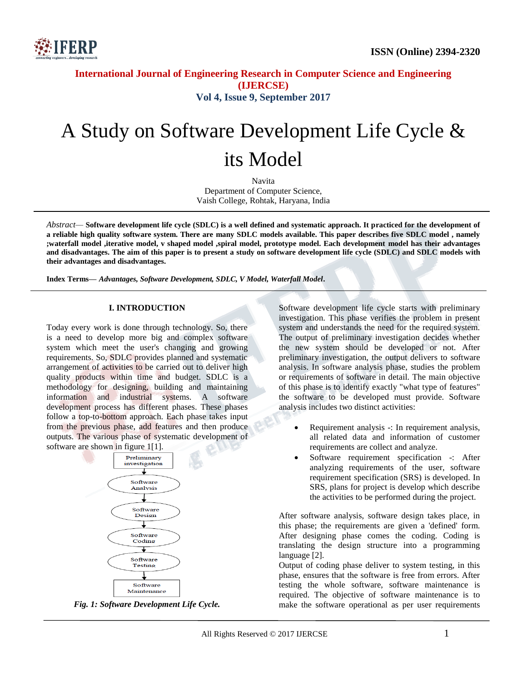

# **International Journal of Engineering Research in Computer Science and Engineering (IJERCSE) Vol 4, Issue 9, September 2017**

# A Study on Software Development Life Cycle & its Model

Navita Department of Computer Science, Vaish College, Rohtak, Haryana, India

*Abstract—* **Software development life cycle (SDLC) is a well defined and systematic approach. It practiced for the development of a reliable high quality software system. There are many SDLC models available. This paper describes five SDLC model , namely ;waterfall model ,iterative model, v shaped model ,spiral model, prototype model. Each development model has their advantages and disadvantages. The aim of this paper is to present a study on software development life cycle (SDLC) and SDLC models with their advantages and disadvantages.**

**Index Terms—** *Advantages, Software Development, SDLC, V Model, Waterfall Model***.**

#### **I. INTRODUCTION**

Today every work is done through technology. So, there is a need to develop more big and complex software system which meet the user's changing and growing requirements. So, SDLC provides planned and systematic arrangement of activities to be carried out to deliver high quality products within time and budget. SDLC is a methodology for designing, building and maintaining information and industrial systems. A software development process has different phases. These phases follow a top-to-bottom approach. Each phase takes input from the previous phase, add features and then produce outputs. The various phase of systematic development of software are shown in figure 1[1].





Software development life cycle starts with preliminary investigation. This phase verifies the problem in present system and understands the need for the required system. The output of preliminary investigation decides whether the new system should be developed or not. After preliminary investigation, the output delivers to software analysis. In software analysis phase, studies the problem or requirements of software in detail. The main objective of this phase is to identify exactly "what type of features" the software to be developed must provide. Software analysis includes two distinct activities:

- Requirement analysis -: In requirement analysis, all related data and information of customer requirements are collect and analyze.
- Software requirement specification -: After analyzing requirements of the user, software requirement specification (SRS) is developed. In SRS, plans for project is develop which describe the activities to be performed during the project.

After software analysis, software design takes place, in this phase; the requirements are given a 'defined' form. After designing phase comes the coding. Coding is translating the design structure into a programming language [2].

Output of coding phase deliver to system testing, in this phase, ensures that the software is free from errors. After testing the whole software, software maintenance is required. The objective of software maintenance is to make the software operational as per user requirements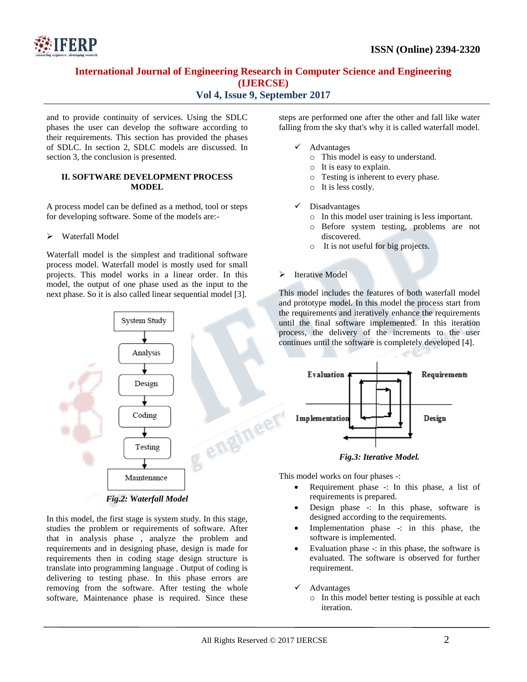

# **International Journal of Engineering Research in Computer Science and Engineering (IJERCSE)**

# **Vol 4, Issue 9, September 2017**

and to provide continuity of services. Using the SDLC phases the user can develop the software according to their requirements. This section has provided the phases of SDLC. In section 2, SDLC models are discussed. In section 3, the conclusion is presented.

#### **II. SOFTWARE DEVELOPMENT PROCESS MODEL**

A process model can be defined as a method, tool or steps for developing software. Some of the models are:-

#### Waterfall Model

Waterfall model is the simplest and traditional software process model. Waterfall model is mostly used for small projects. This model works in a linear order. In this model, the output of one phase used as the input to the next phase. So it is also called linear sequential model [3].



In this model, the first stage is system study. In this stage, studies the problem or requirements of software. After that in analysis phase , analyze the problem and requirements and in designing phase, design is made for requirements then in coding stage design structure is translate into programming language . Output of coding is delivering to testing phase. In this phase errors are removing from the software. After testing the whole software, Maintenance phase is required. Since these steps are performed one after the other and fall like water falling from the sky that's why it is called waterfall model.

- $\checkmark$  Advantages
	- o This model is easy to understand.
	- o It is easy to explain.
	- o Testing is inherent to every phase.
	- o It is less costly.
- Disadvantages
	- o In this model user training is less important.
	- o Before system testing, problems are not discovered.
	- o It is not useful for big projects.

#### > Iterative Model

This model includes the features of both waterfall model and prototype model. In this model the process start from the requirements and iteratively enhance the requirements until the final software implemented. In this iteration process, the delivery of the increments to the user continues until the software is completely developed [4].



*Fig.3: Iterative Model.*

This model works on four phases -:

- Requirement phase -: In this phase, a list of requirements is prepared.
- Design phase -: In this phase, software is designed according to the requirements.
- Implementation phase -: in this phase, the software is implemented.
- Evaluation phase -: in this phase, the software is evaluated. The software is observed for further requirement.

Advantages

o In this model better testing is possible at each iteration.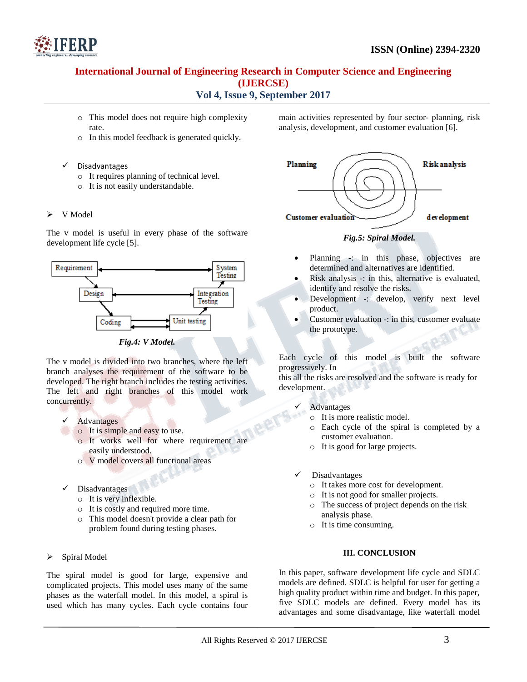

# **International Journal of Engineering Research in Computer Science and Engineering (IJERCSE) Vol 4, Issue 9, September 2017**

- 
- o This model does not require high complexity rate.
- o In this model feedback is generated quickly.
- Disadvantages
	- o It requires planning of technical level.
	- o It is not easily understandable.
- $\triangleright$  V Model

The v model is useful in every phase of the software development life cycle [5].



*Fig.4: V Model.*

The v model is divided into two branches, where the left branch analyses the requirement of the software to be developed. The right branch includes the testing activities. The left and right branches of this model work concurrently.

- Advantages
- o It is simple and easy to use.
	- o It works well for where requirement are easily understood.
	- o V model covers all functional areas
- Disadvantages
	- o It is very inflexible.
	- o It is costly and required more time.
	- o This model doesn't provide a clear path for problem found during testing phases.
- Spiral Model

The spiral model is good for large, expensive and complicated projects. This model uses many of the same phases as the waterfall model. In this model, a spiral is used which has many cycles. Each cycle contains four main activities represented by four sector- planning, risk analysis, development, and customer evaluation [6].



## *Fig.5: Spiral Model.*

- Planning -: in this phase, objectives are determined and alternatives are identified.
- Risk analysis -: in this, alternative is evaluated, identify and resolve the risks.
- Development -: develop, verify next level product.
- Customer evaluation -: in this, customer evaluate the prototype.

Each cycle of this model is built the software progressively. In

this all the risks are resolved and the software is ready for development.

- Advantages
	- o It is more realistic model.
	- o Each cycle of the spiral is completed by a customer evaluation.
	- o It is good for large projects.
- Disadvantages
	- o It takes more cost for development.
	- o It is not good for smaller projects.
	- o The success of project depends on the risk analysis phase.
	- o It is time consuming.

### **III. CONCLUSION**

In this paper, software development life cycle and SDLC models are defined. SDLC is helpful for user for getting a high quality product within time and budget. In this paper, five SDLC models are defined. Every model has its advantages and some disadvantage, like waterfall model